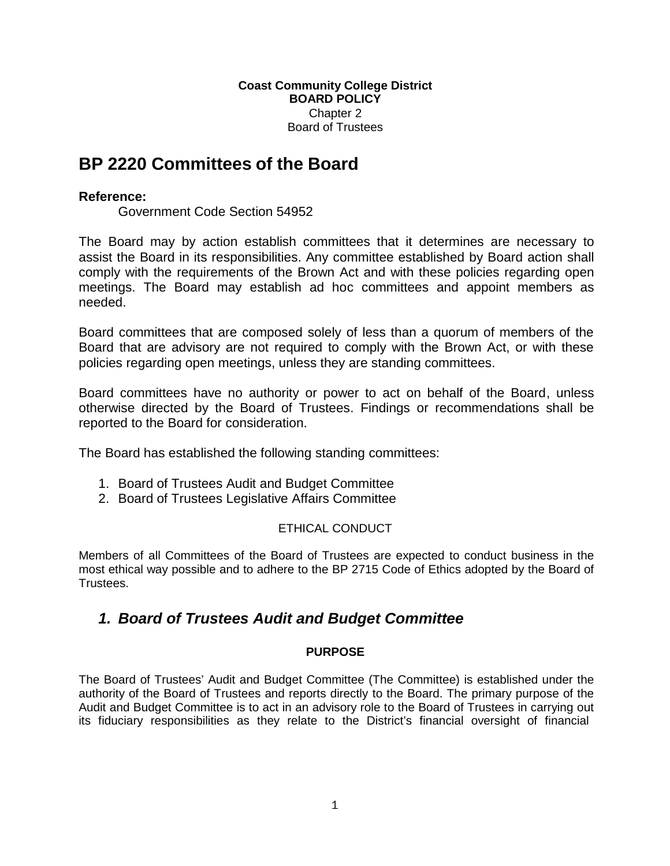#### **Coast Community College District BOARD POLICY** Chapter 2 Board of Trustees

# **BP 2220 Committees of the Board**

## **Reference:**

Government Code Section 54952

The Board may by action establish committees that it determines are necessary to assist the Board in its responsibilities. Any committee established by Board action shall comply with the requirements of the Brown Act and with these policies regarding open meetings. The Board may establish ad hoc committees and appoint members as needed.

Board committees that are composed solely of less than a quorum of members of the Board that are advisory are not required to comply with the Brown Act, or with these policies regarding open meetings, unless they are standing committees.

Board committees have no authority or power to act on behalf of the Board, unless otherwise directed by the Board of Trustees. Findings or recommendations shall be reported to the Board for consideration.

The Board has established the following standing committees:

- 1. Board of Trustees Audit and Budget Committee
- 2. Board of Trustees Legislative Affairs Committee

## ETHICAL CONDUCT

Members of all Committees of the Board of Trustees are expected to conduct business in the most ethical way possible and to adhere to the BP 2715 Code of Ethics adopted by the Board of Trustees.

## *1. Board of Trustees Audit and Budget Committee*

## **PURPOSE**

The Board of Trustees' Audit and Budget Committee (The Committee) is established under the authority of the Board of Trustees and reports directly to the Board. The primary purpose of the Audit and Budget Committee is to act in an advisory role to the Board of Trustees in carrying out its fiduciary responsibilities as they relate to the District's financial oversight of financial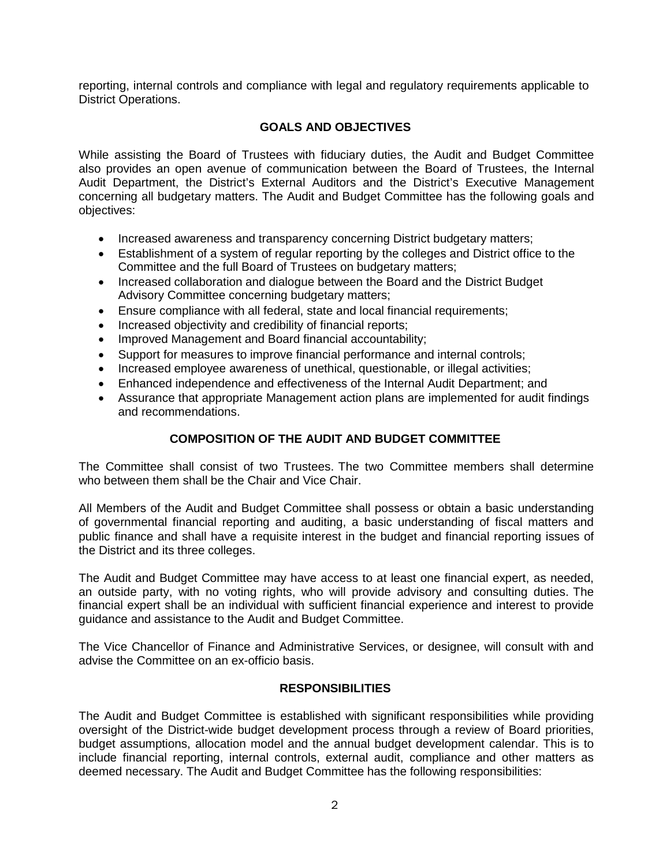reporting, internal controls and compliance with legal and regulatory requirements applicable to District Operations.

### **GOALS AND OBJECTIVES**

While assisting the Board of Trustees with fiduciary duties, the Audit and Budget Committee also provides an open avenue of communication between the Board of Trustees, the Internal Audit Department, the District's External Auditors and the District's Executive Management concerning all budgetary matters. The Audit and Budget Committee has the following goals and objectives:

- Increased awareness and transparency concerning District budgetary matters;
- Establishment of a system of regular reporting by the colleges and District office to the Committee and the full Board of Trustees on budgetary matters;
- Increased collaboration and dialogue between the Board and the District Budget Advisory Committee concerning budgetary matters;
- Ensure compliance with all federal, state and local financial requirements;
- Increased objectivity and credibility of financial reports;
- Improved Management and Board financial accountability;
- Support for measures to improve financial performance and internal controls;
- Increased employee awareness of unethical, questionable, or illegal activities;
- Enhanced independence and effectiveness of the Internal Audit Department; and
- Assurance that appropriate Management action plans are implemented for audit findings and recommendations.

## **COMPOSITION OF THE AUDIT AND BUDGET COMMITTEE**

The Committee shall consist of two Trustees. The two Committee members shall determine who between them shall be the Chair and Vice Chair.

All Members of the Audit and Budget Committee shall possess or obtain a basic understanding of governmental financial reporting and auditing, a basic understanding of fiscal matters and public finance and shall have a requisite interest in the budget and financial reporting issues of the District and its three colleges.

The Audit and Budget Committee may have access to at least one financial expert, as needed, an outside party, with no voting rights, who will provide advisory and consulting duties. The financial expert shall be an individual with sufficient financial experience and interest to provide guidance and assistance to the Audit and Budget Committee.

The Vice Chancellor of Finance and Administrative Services, or designee, will consult with and advise the Committee on an ex-officio basis.

#### **RESPONSIBILITIES**

The Audit and Budget Committee is established with significant responsibilities while providing oversight of the District-wide budget development process through a review of Board priorities, budget assumptions, allocation model and the annual budget development calendar. This is to include financial reporting, internal controls, external audit, compliance and other matters as deemed necessary. The Audit and Budget Committee has the following responsibilities: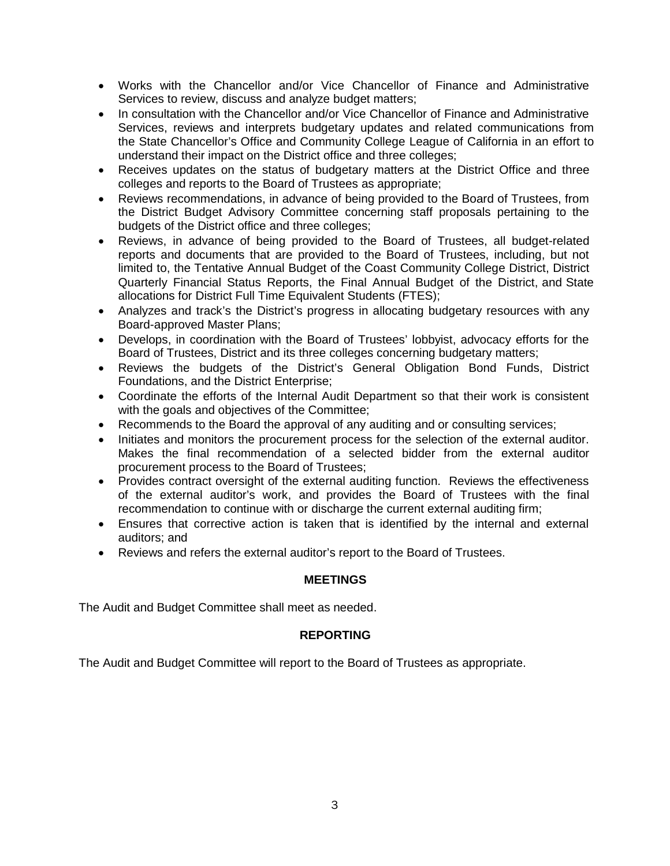- Works with the Chancellor and/or Vice Chancellor of Finance and Administrative Services to review, discuss and analyze budget matters;
- In consultation with the Chancellor and/or Vice Chancellor of Finance and Administrative Services, reviews and interprets budgetary updates and related communications from the State Chancellor's Office and Community College League of California in an effort to understand their impact on the District office and three colleges;
- Receives updates on the status of budgetary matters at the District Office and three colleges and reports to the Board of Trustees as appropriate;
- Reviews recommendations, in advance of being provided to the Board of Trustees, from the District Budget Advisory Committee concerning staff proposals pertaining to the budgets of the District office and three colleges;
- Reviews, in advance of being provided to the Board of Trustees, all budget-related reports and documents that are provided to the Board of Trustees, including, but not limited to, the Tentative Annual Budget of the Coast Community College District, District Quarterly Financial Status Reports, the Final Annual Budget of the District, and State allocations for District Full Time Equivalent Students (FTES);
- Analyzes and track's the District's progress in allocating budgetary resources with any Board-approved Master Plans;
- Develops, in coordination with the Board of Trustees' lobbyist, advocacy efforts for the Board of Trustees, District and its three colleges concerning budgetary matters;
- Reviews the budgets of the District's General Obligation Bond Funds, District Foundations, and the District Enterprise;
- Coordinate the efforts of the Internal Audit Department so that their work is consistent with the goals and objectives of the Committee;
- Recommends to the Board the approval of any auditing and or consulting services;
- Initiates and monitors the procurement process for the selection of the external auditor. Makes the final recommendation of a selected bidder from the external auditor procurement process to the Board of Trustees;
- Provides contract oversight of the external auditing function. Reviews the effectiveness of the external auditor's work, and provides the Board of Trustees with the final recommendation to continue with or discharge the current external auditing firm;
- Ensures that corrective action is taken that is identified by the internal and external auditors; and
- Reviews and refers the external auditor's report to the Board of Trustees.

## **MEETINGS**

The Audit and Budget Committee shall meet as needed.

#### **REPORTING**

The Audit and Budget Committee will report to the Board of Trustees as appropriate.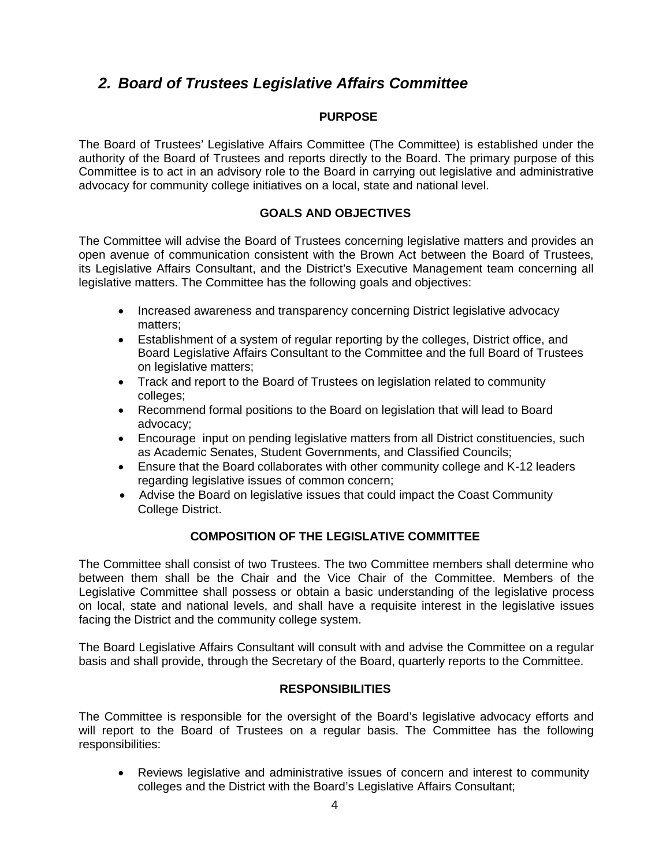## *2. Board of Trustees Legislative Affairs Committee*

### **PURPOSE**

The Board of Trustees' Legislative Affairs Committee (The Committee) is established under the authority of the Board of Trustees and reports directly to the Board. The primary purpose of this Committee is to act in an advisory role to the Board in carrying out legislative and administrative advocacy for community college initiatives on a local, state and national level.

### **GOALS AND OBJECTIVES**

The Committee will advise the Board of Trustees concerning legislative matters and provides an open avenue of communication consistent with the Brown Act between the Board of Trustees, its Legislative Affairs Consultant, and the District's Executive Management team concerning all legislative matters. The Committee has the following goals and objectives:

- Increased awareness and transparency concerning District legislative advocacy matters;
- Establishment of a system of regular reporting by the colleges, District office, and Board Legislative Affairs Consultant to the Committee and the full Board of Trustees on legislative matters;
- Track and report to the Board of Trustees on legislation related to community colleges;
- Recommend formal positions to the Board on legislation that will lead to Board advocacy;
- Encourage input on pending legislative matters from all District constituencies, such as Academic Senates, Student Governments, and Classified Councils;
- Ensure that the Board collaborates with other community college and K-12 leaders regarding legislative issues of common concern;
- Advise the Board on legislative issues that could impact the Coast Community College District.

## **COMPOSITION OF THE LEGISLATIVE COMMITTEE**

The Committee shall consist of two Trustees. The two Committee members shall determine who between them shall be the Chair and the Vice Chair of the Committee. Members of the Legislative Committee shall possess or obtain a basic understanding of the legislative process on local, state and national levels, and shall have a requisite interest in the legislative issues facing the District and the community college system.

The Board Legislative Affairs Consultant will consult with and advise the Committee on a regular basis and shall provide, through the Secretary of the Board, quarterly reports to the Committee.

#### **RESPONSIBILITIES**

The Committee is responsible for the oversight of the Board's legislative advocacy efforts and will report to the Board of Trustees on a regular basis. The Committee has the following responsibilities:

 Reviews legislative and administrative issues of concern and interest to community colleges and the District with the Board's Legislative Affairs Consultant;